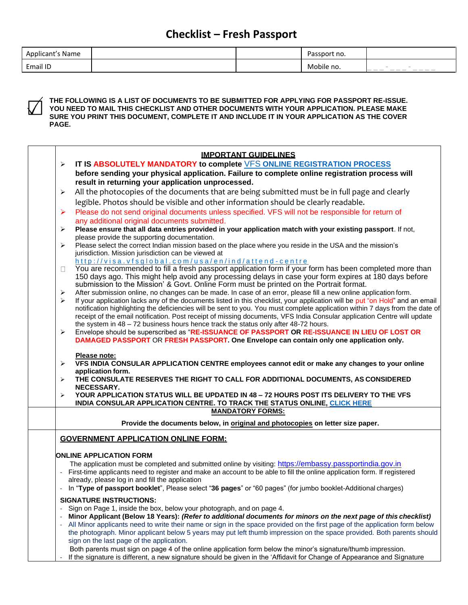| s Name)<br>Applicant' |  | Passport no. |                                  |
|-----------------------|--|--------------|----------------------------------|
| Email ID              |  | Mobile no.   | $\frac{1}{2}$<br>__<br>--<br>___ |



**THE FOLLOWING IS A LIST OF DOCUMENTS TO BE SUBMITTED FOR APPLYING FOR PASSPORT RE-ISSUE. YOU NEED TO MAIL THIS CHECKLIST AND OTHER DOCUMENTS WITH YOUR APPLICATION. PLEASE MAKE SURE YOU PRINT THIS DOCUMENT, COMPLETE IT AND INCLUDE IT IN YOUR APPLICATION AS THE COVER PAGE.**

| <b>IMPORTANT GUIDELINES</b>                                                                                                                                                                                                              |
|------------------------------------------------------------------------------------------------------------------------------------------------------------------------------------------------------------------------------------------|
| IT IS ABSOLUTELY MANDATORY to complete VFS ONLINE REGISTRATION PROCESS<br>$\blacktriangleright$                                                                                                                                          |
| before sending your physical application. Failure to complete online registration process will                                                                                                                                           |
| result in returning your application unprocessed.                                                                                                                                                                                        |
|                                                                                                                                                                                                                                          |
| All the photocopies of the documents that are being submitted must be in full page and clearly<br>➤                                                                                                                                      |
| legible. Photos should be visible and other information should be clearly readable.                                                                                                                                                      |
| Please do not send original documents unless specified. VFS will not be responsible for return of<br>$\blacktriangleright$                                                                                                               |
| any additional original documents submitted.                                                                                                                                                                                             |
| Please ensure that all data entries provided in your application match with your existing passport. If not,<br>➤                                                                                                                         |
| please provide the supporting documentation.                                                                                                                                                                                             |
| Please select the correct Indian mission based on the place where you reside in the USA and the mission's<br>➤                                                                                                                           |
| jurisdiction. Mission jurisdiction can be viewed at                                                                                                                                                                                      |
| http://visa.vfsglobal.com/usa/en/ind/attend-centre<br>You are recommended to fill a fresh passport application form if your form has been completed more than<br>$\Box$                                                                  |
| 150 days ago. This might help avoid any processing delays in case your form expires at 180 days before                                                                                                                                   |
| submission to the Mission' & Govt. Online Form must be printed on the Portrait format.                                                                                                                                                   |
| After submission online, no changes can be made. In case of an error, please fill a new online application form.<br>➤                                                                                                                    |
| If your application lacks any of the documents listed in this checklist, your application will be put "on Hold" and an email<br>➤                                                                                                        |
| notification highlighting the deficiencies will be sent to you. You must complete application within 7 days from the date of                                                                                                             |
| receipt of the email notification. Post receipt of missing documents, VFS India Consular application Centre will update                                                                                                                  |
| the system in $48 - 72$ business hours hence track the status only after $48 - 72$ hours.                                                                                                                                                |
| Envelope should be superscribed as "RE-ISSUANCE OF PASSPORT OR RE-ISSUANCE IN LIEU OF LOST OR<br>$\blacktriangleright$                                                                                                                   |
| DAMAGED PASSPORT OR FRESH PASSPORT. One Envelope can contain only one application only.                                                                                                                                                  |
| Please note:                                                                                                                                                                                                                             |
| VFS INDIA CONSULAR APPLICATION CENTRE employees cannot edit or make any changes to your online<br>➤                                                                                                                                      |
| application form.                                                                                                                                                                                                                        |
| THE CONSULATE RESERVES THE RIGHT TO CALL FOR ADDITIONAL DOCUMENTS, AS CONSIDERED<br>⋗                                                                                                                                                    |
| NECESSARY.                                                                                                                                                                                                                               |
| YOUR APPLICATION STATUS WILL BE UPDATED IN 48 - 72 HOURS POST ITS DELIVERY TO THE VFS<br>⋗<br>INDIA CONSULAR APPLICATION CENTRE. TO TRACK THE STATUS ONLINE, CLICK HERE                                                                  |
| <b>MANDATORY FORMS:</b>                                                                                                                                                                                                                  |
| Provide the documents below, in original and photocopies on letter size paper.                                                                                                                                                           |
|                                                                                                                                                                                                                                          |
| <b>GOVERNMENT APPLICATION ONLINE FORM:</b>                                                                                                                                                                                               |
|                                                                                                                                                                                                                                          |
| <b>ONLINE APPLICATION FORM</b>                                                                                                                                                                                                           |
| The application must be completed and submitted online by visiting: https://embassy.passportindia.gov.in                                                                                                                                 |
| First-time applicants need to register and make an account to be able to fill the online application form. If registered                                                                                                                 |
| already, please log in and fill the application                                                                                                                                                                                          |
| In "Type of passport booklet", Please select "36 pages" or "60 pages" (for jumbo booklet-Additional charges)                                                                                                                             |
| <b>SIGNATURE INSTRUCTIONS:</b>                                                                                                                                                                                                           |
| Sign on Page 1, inside the box, below your photograph, and on page 4.                                                                                                                                                                    |
| Minor Applicant (Below 18 Years): (Refer to additional documents for minors on the next page of this checklist)                                                                                                                          |
| All Minor applicants need to write their name or sign in the space provided on the first page of the application form below                                                                                                              |
| the photograph. Minor applicant below 5 years may put left thumb impression on the space provided. Both parents should                                                                                                                   |
| sign on the last page of the application.                                                                                                                                                                                                |
| Both parents must sign on page 4 of the online application form below the minor's signature/thumb impression.<br>If the signature is different, a new signature should be given in the 'Affidavit for Change of Appearance and Signature |
|                                                                                                                                                                                                                                          |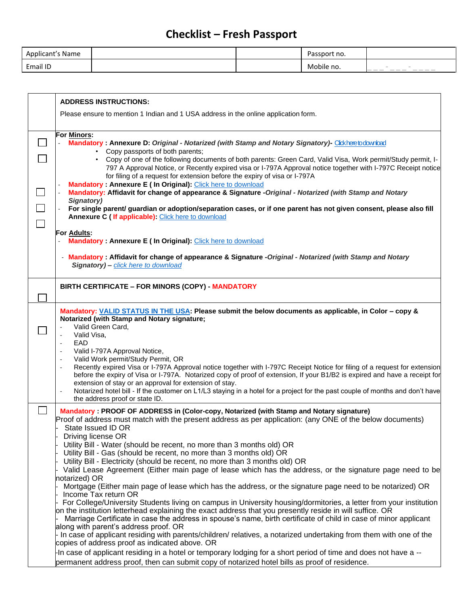| Applicant's Name |  | Passport no. |                                                                                                                                                                                                                                                                                                                                                                                                                                                                                                             |
|------------------|--|--------------|-------------------------------------------------------------------------------------------------------------------------------------------------------------------------------------------------------------------------------------------------------------------------------------------------------------------------------------------------------------------------------------------------------------------------------------------------------------------------------------------------------------|
| Email ID         |  | Mobile no.   | $\sim$<br>$- - -$<br>$\frac{1}{2} \left( \frac{1}{2} \right) \left( \frac{1}{2} \right) \left( \frac{1}{2} \right) \left( \frac{1}{2} \right) \left( \frac{1}{2} \right) \left( \frac{1}{2} \right) \left( \frac{1}{2} \right) \left( \frac{1}{2} \right) \left( \frac{1}{2} \right) \left( \frac{1}{2} \right) \left( \frac{1}{2} \right) \left( \frac{1}{2} \right) \left( \frac{1}{2} \right) \left( \frac{1}{2} \right) \left( \frac{1}{2} \right) \left( \frac{1}{2} \right) \left( \frac$<br>---<br>- |

| <b>ADDRESS INSTRUCTIONS:</b>                                                                                                                                                                                                                                                                                                                                                                                                                                                                                                                                                                                                                                                                                                                                                                                                                                                                                                                                                                                                                                                                                                                                                                                                                                                                                                                                                                                                                                                                                                                 |
|----------------------------------------------------------------------------------------------------------------------------------------------------------------------------------------------------------------------------------------------------------------------------------------------------------------------------------------------------------------------------------------------------------------------------------------------------------------------------------------------------------------------------------------------------------------------------------------------------------------------------------------------------------------------------------------------------------------------------------------------------------------------------------------------------------------------------------------------------------------------------------------------------------------------------------------------------------------------------------------------------------------------------------------------------------------------------------------------------------------------------------------------------------------------------------------------------------------------------------------------------------------------------------------------------------------------------------------------------------------------------------------------------------------------------------------------------------------------------------------------------------------------------------------------|
| Please ensure to mention 1 Indian and 1 USA address in the online application form.                                                                                                                                                                                                                                                                                                                                                                                                                                                                                                                                                                                                                                                                                                                                                                                                                                                                                                                                                                                                                                                                                                                                                                                                                                                                                                                                                                                                                                                          |
|                                                                                                                                                                                                                                                                                                                                                                                                                                                                                                                                                                                                                                                                                                                                                                                                                                                                                                                                                                                                                                                                                                                                                                                                                                                                                                                                                                                                                                                                                                                                              |
| For Minors:<br>Mandatory: Annexure D: Original - Notarized (with Stamp and Notary Signatory)- Cickheretodownload<br>Copy passports of both parents;<br>Copy of one of the following documents of both parents: Green Card, Valid Visa, Work permit/Study permit, I-<br>$\bullet$<br>797 A Approval Notice, or Recently expired visa or I-797A Approval notice together with I-797C Receipt notice<br>for filing of a request for extension before the expiry of visa or I-797A<br>Mandatory: Annexure E ( In Original): Click here to download<br>Mandatory: Affidavit for change of appearance & Signature -Original - Notarized (with Stamp and Notary<br>Signatory)<br>For single parent/ guardian or adoption/separation cases, or if one parent has not given consent, please also fill<br>Annexure C ( If applicable): Click here to download<br>For Adults:<br>Mandatory: Annexure E ( In Original): Click here to download<br>- Mandatory: Affidavit for change of appearance & Signature -Original - Notarized (with Stamp and Notary<br>Signatory) - click here to download                                                                                                                                                                                                                                                                                                                                                                                                                                                        |
| BIRTH CERTIFICATE - FOR MINORS (COPY) - MANDATORY                                                                                                                                                                                                                                                                                                                                                                                                                                                                                                                                                                                                                                                                                                                                                                                                                                                                                                                                                                                                                                                                                                                                                                                                                                                                                                                                                                                                                                                                                            |
| Mandatory: VALID STATUS IN THE USA: Please submit the below documents as applicable, in Color - copy &<br>Notarized (with Stamp and Notary signature;<br>Valid Green Card,<br>Valid Visa,<br>EAD<br>Valid I-797A Approval Notice,<br>$\blacksquare$<br>Valid Work permit/Study Permit, OR<br>Recently expired Visa or I-797A Approval notice together with I-797C Receipt Notice for filing of a request for extension<br>before the expiry of Visa or I-797A. Notarized copy of proof of extension, If your B1/B2 is expired and have a receipt for<br>extension of stay or an approval for extension of stay.<br>Notarized hotel bill - If the customer on L1/L3 staying in a hotel for a project for the past couple of months and don't have<br>the address proof or state ID.                                                                                                                                                                                                                                                                                                                                                                                                                                                                                                                                                                                                                                                                                                                                                           |
| Mandatory: PROOF OF ADDRESS in (Color-copy, Notarized (with Stamp and Notary signature)<br>Proof of address must match with the present address as per application: (any ONE of the below documents)<br>State Issued ID OR<br>Driving license OR<br>Utility Bill - Water (should be recent, no more than 3 months old) OR<br>Utility Bill - Gas (should be recent, no more than 3 months old) OR<br>Utility Bill - Electricity (should be recent, no more than 3 months old) OR<br>Valid Lease Agreement (Either main page of lease which has the address, or the signature page need to be<br>notarized) OR<br>Mortgage (Either main page of lease which has the address, or the signature page need to be notarized) OR<br>Income Tax return OR<br>For College/University Students living on campus in University housing/dormitories, a letter from your institution<br>on the institution letterhead explaining the exact address that you presently reside in will suffice. OR<br>Marriage Certificate in case the address in spouse's name, birth certificate of child in case of minor applicant<br>along with parent's address proof. OR<br>In case of applicant residing with parents/children/ relatives, a notarized undertaking from them with one of the<br>copies of address proof as indicated above. OR<br>-In case of applicant residing in a hotel or temporary lodging for a short period of time and does not have a --<br>permanent address proof, then can submit copy of notarized hotel bills as proof of residence. |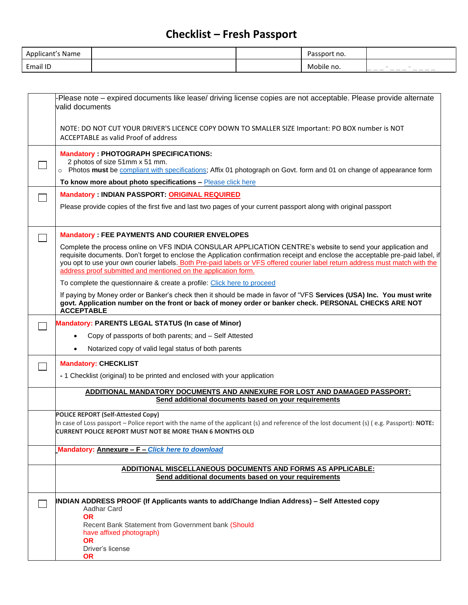| Applicant's Name |  | Passport no. |                                                                                                                                                                                                                                                                                                                                                                                                                                                                                                                                              |
|------------------|--|--------------|----------------------------------------------------------------------------------------------------------------------------------------------------------------------------------------------------------------------------------------------------------------------------------------------------------------------------------------------------------------------------------------------------------------------------------------------------------------------------------------------------------------------------------------------|
| Email ID         |  | Mobile no.   | <b>STAR</b><br>$- - -$<br>-<br>___<br>$\frac{1}{2} \left( \frac{1}{2} \right) \left( \frac{1}{2} \right) \left( \frac{1}{2} \right) \left( \frac{1}{2} \right) \left( \frac{1}{2} \right) \left( \frac{1}{2} \right) \left( \frac{1}{2} \right) \left( \frac{1}{2} \right) \left( \frac{1}{2} \right) \left( \frac{1}{2} \right) \left( \frac{1}{2} \right) \left( \frac{1}{2} \right) \left( \frac{1}{2} \right) \left( \frac{1}{2} \right) \left( \frac{1}{2} \right) \left( \frac{1}{2} \right) \left( \frac$<br>$\overline{\phantom{a}}$ |

| -Please note – expired documents like lease/ driving license copies are not acceptable. Please provide alternate<br>valid documents                                                                                                                                                                                                                                                                                                              |
|--------------------------------------------------------------------------------------------------------------------------------------------------------------------------------------------------------------------------------------------------------------------------------------------------------------------------------------------------------------------------------------------------------------------------------------------------|
| NOTE: DO NOT CUT YOUR DRIVER'S LICENCE COPY DOWN TO SMALLER SIZE Important: PO BOX number is NOT<br>ACCEPTABLE as valid Proof of address                                                                                                                                                                                                                                                                                                         |
| <b>Mandatory: PHOTOGRAPH SPECIFICATIONS:</b><br>2 photos of size 51mm x 51 mm.<br>Photos must be compliant with specifications; Affix 01 photograph on Govt. form and 01 on change of appearance form                                                                                                                                                                                                                                            |
| To know more about photo specifications – Please click here                                                                                                                                                                                                                                                                                                                                                                                      |
| <b>Mandatory: INDIAN PASSPORT: ORIGINAL REQUIRED</b>                                                                                                                                                                                                                                                                                                                                                                                             |
| Please provide copies of the first five and last two pages of your current passport along with original passport                                                                                                                                                                                                                                                                                                                                 |
| <b>Mandatory: FEE PAYMENTS AND COURIER ENVELOPES</b>                                                                                                                                                                                                                                                                                                                                                                                             |
| Complete the process online on VFS INDIA CONSULAR APPLICATION CENTRE's website to send your application and<br>requisite documents. Don't forget to enclose the Application confirmation receipt and enclose the acceptable pre-paid label, if<br>you opt to use your own courier labels. Both Pre-paid labels or VFS offered courier label return address must match with the<br>address proof submitted and mentioned on the application form. |
| To complete the questionnaire & create a profile: Click here to proceed                                                                                                                                                                                                                                                                                                                                                                          |
| If paying by Money order or Banker's check then it should be made in favor of "VFS Services (USA) Inc. You must write<br>govt. Application number on the front or back of money order or banker check. PERSONAL CHECKS ARE NOT<br><b>ACCEPTABLE</b>                                                                                                                                                                                              |
| <b>Mandatory: PARENTS LEGAL STATUS (In case of Minor)</b>                                                                                                                                                                                                                                                                                                                                                                                        |
| Copy of passports of both parents; and – Self Attested                                                                                                                                                                                                                                                                                                                                                                                           |
| Notarized copy of valid legal status of both parents<br>$\bullet$                                                                                                                                                                                                                                                                                                                                                                                |
| <b>Mandatory: CHECKLIST</b>                                                                                                                                                                                                                                                                                                                                                                                                                      |
| - 1 Checklist (original) to be printed and enclosed with your application                                                                                                                                                                                                                                                                                                                                                                        |
| ADDITIONAL MANDATORY DOCUMENTS AND ANNEXURE FOR LOST AND DAMAGED PASSPORT:<br>Send additional documents based on your requirements                                                                                                                                                                                                                                                                                                               |
| <b>POLICE REPORT (Self-Attested Copy)</b>                                                                                                                                                                                                                                                                                                                                                                                                        |
| In case of Loss passport - Police report with the name of the applicant (s) and reference of the lost document (s) (e.g. Passport): NOTE:<br><b>CURRENT POLICE REPORT MUST NOT BE MORE THAN 6 MONTHS OLD</b>                                                                                                                                                                                                                                     |
| Mandatory: Annexure - F - Click here to download                                                                                                                                                                                                                                                                                                                                                                                                 |
| ADDITIONAL MISCELLANEOUS DOCUMENTS AND FORMS AS APPLICABLE:<br>Send additional documents based on your requirements                                                                                                                                                                                                                                                                                                                              |
|                                                                                                                                                                                                                                                                                                                                                                                                                                                  |
| INDIAN ADDRESS PROOF (If Applicants wants to add/Change Indian Address) – Self Attested copy<br>Aadhar Card                                                                                                                                                                                                                                                                                                                                      |
| <b>OR</b><br>Recent Bank Statement from Government bank (Should<br>have affixed photograph)<br><b>OR</b><br>Driver's license                                                                                                                                                                                                                                                                                                                     |
| <b>OR</b>                                                                                                                                                                                                                                                                                                                                                                                                                                        |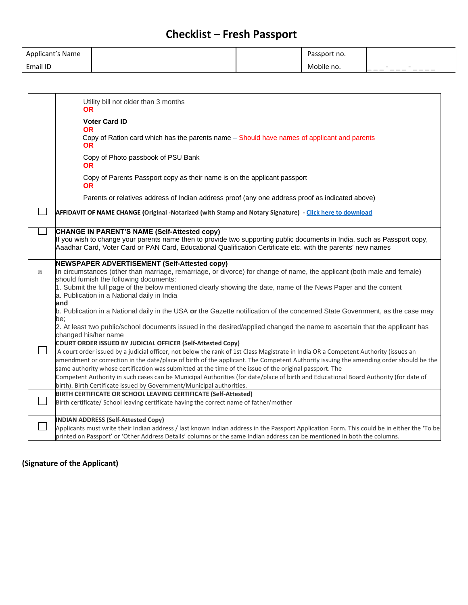| Applicant's Name |  | Passport no. |                                                                                     |
|------------------|--|--------------|-------------------------------------------------------------------------------------|
| Email ID         |  | Mobile no.   | $- - - -$<br>-<br>$\overline{\phantom{a}}$<br>- -<br>$\frac{1}{2}$<br>$\frac{1}{2}$ |

|             | Utility bill not older than 3 months<br>OR.                                                                                                                                                                                                                                                                                                                                                                                                                                                                                                                                                                                                                             |
|-------------|-------------------------------------------------------------------------------------------------------------------------------------------------------------------------------------------------------------------------------------------------------------------------------------------------------------------------------------------------------------------------------------------------------------------------------------------------------------------------------------------------------------------------------------------------------------------------------------------------------------------------------------------------------------------------|
|             | <b>Voter Card ID</b><br><b>OR</b><br>Copy of Ration card which has the parents name – Should have names of applicant and parents<br>OR.                                                                                                                                                                                                                                                                                                                                                                                                                                                                                                                                 |
|             | Copy of Photo passbook of PSU Bank<br><b>OR</b>                                                                                                                                                                                                                                                                                                                                                                                                                                                                                                                                                                                                                         |
|             | Copy of Parents Passport copy as their name is on the applicant passport<br><b>OR</b>                                                                                                                                                                                                                                                                                                                                                                                                                                                                                                                                                                                   |
|             | Parents or relatives address of Indian address proof (any one address proof as indicated above)                                                                                                                                                                                                                                                                                                                                                                                                                                                                                                                                                                         |
|             | AFFIDAVIT OF NAME CHANGE (Original -Notarized (with Stamp and Notary Signature) - Click here to download                                                                                                                                                                                                                                                                                                                                                                                                                                                                                                                                                                |
|             | CHANGE IN PARENT'S NAME (Self-Attested copy)<br>If you wish to change your parents name then to provide two supporting public documents in India, such as Passport copy,<br>Aaadhar Card, Voter Card or PAN Card, Educational Qualification Certificate etc. with the parents' new names                                                                                                                                                                                                                                                                                                                                                                                |
| $\boxtimes$ | NEWSPAPER ADVERTISEMENT (Self-Attested copy)<br>In circumstances (other than marriage, remarriage, or divorce) for change of name, the applicant (both male and female)<br>should furnish the following documents:<br>1. Submit the full page of the below mentioned clearly showing the date, name of the News Paper and the content<br>a. Publication in a National daily in India                                                                                                                                                                                                                                                                                    |
|             | and<br>b. Publication in a National daily in the USA or the Gazette notification of the concerned State Government, as the case may<br>be:<br>2. At least two public/school documents issued in the desired/applied changed the name to ascertain that the applicant has<br>changed his/her name                                                                                                                                                                                                                                                                                                                                                                        |
|             | COURT ORDER ISSUED BY JUDICIAL OFFICER (Self-Attested Copy)<br>A court order issued by a judicial officer, not below the rank of 1st Class Magistrate in India OR a Competent Authority (issues an<br>amendment or correction in the date/place of birth of the applicant. The Competent Authority issuing the amending order should be the<br>same authority whose certification was submitted at the time of the issue of the original passport. The<br>Competent Authority in such cases can be Municipal Authorities (for date/place of birth and Educational Board Authority (for date of<br>birth). Birth Certificate issued by Government/Municipal authorities. |
|             | BIRTH CERTIFICATE OR SCHOOL LEAVING CERTIFICATE (Self-Attested)<br>Birth certificate/ School leaving certificate having the correct name of father/mother                                                                                                                                                                                                                                                                                                                                                                                                                                                                                                               |
|             | <b>INDIAN ADDRESS (Self-Attested Copy)</b><br>Applicants must write their Indian address / last known Indian address in the Passport Application Form. This could be in either the 'To be<br>printed on Passport' or 'Other Address Details' columns or the same Indian address can be mentioned in both the columns.                                                                                                                                                                                                                                                                                                                                                   |

### **(Signature of the Applicant)**